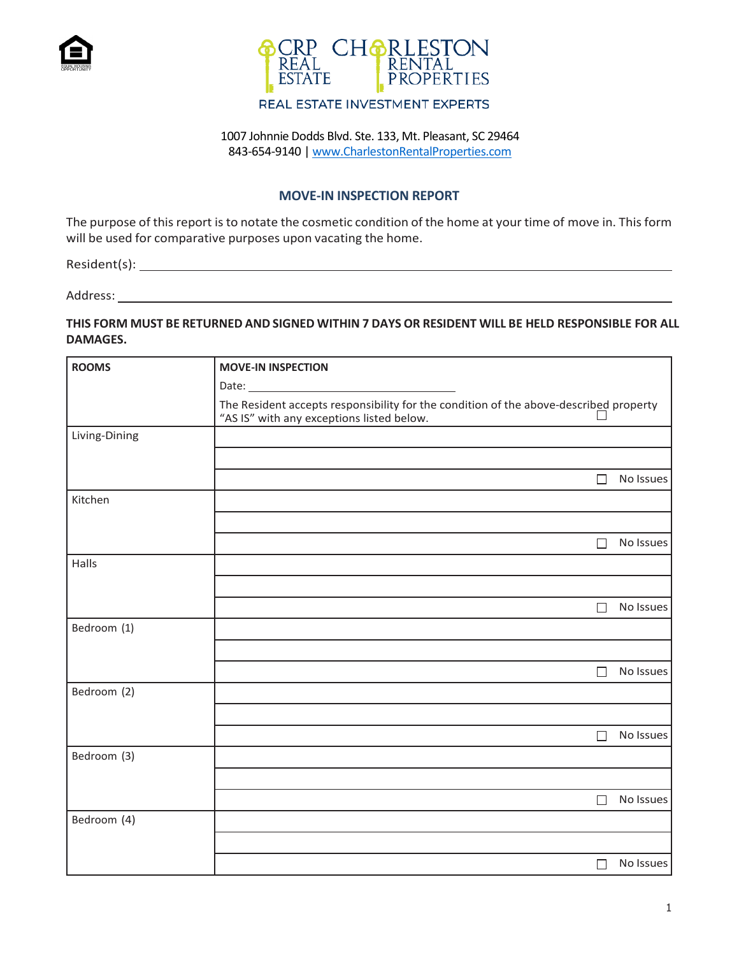



## 1007 Johnnie Dodds Blvd. Ste. 133, Mt. Pleasant, SC 29464 843-654-9140 | [www.CharlestonRentalProperties.com](http://www.charlestonrentalproperties.com/)

### **MOVE-IN INSPECTION REPORT**

The purpose of this report is to notate the cosmetic condition of the home at your time of move in. This form will be used for comparative purposes upon vacating the home.

Resident(s):

Address:

#### **THIS FORM MUST BE RETURNED AND SIGNED WITHIN 7 DAYS OR RESIDENT WILL BE HELD RESPONSIBLE FOR ALL DAMAGES.**

| <b>ROOMS</b>  | <b>MOVE-IN INSPECTION</b>                                                                                                          |           |  |  |  |
|---------------|------------------------------------------------------------------------------------------------------------------------------------|-----------|--|--|--|
|               | The Resident accepts responsibility for the condition of the above-described property<br>"AS IS" with any exceptions listed below. |           |  |  |  |
|               |                                                                                                                                    |           |  |  |  |
| Living-Dining |                                                                                                                                    |           |  |  |  |
|               |                                                                                                                                    |           |  |  |  |
|               | П                                                                                                                                  | No Issues |  |  |  |
| Kitchen       |                                                                                                                                    |           |  |  |  |
|               |                                                                                                                                    |           |  |  |  |
|               | $\Box$                                                                                                                             | No Issues |  |  |  |
| Halls         |                                                                                                                                    |           |  |  |  |
|               |                                                                                                                                    |           |  |  |  |
|               | $\Box$                                                                                                                             | No Issues |  |  |  |
| Bedroom (1)   |                                                                                                                                    |           |  |  |  |
|               |                                                                                                                                    |           |  |  |  |
|               | $\Box$                                                                                                                             | No Issues |  |  |  |
| Bedroom (2)   |                                                                                                                                    |           |  |  |  |
|               |                                                                                                                                    |           |  |  |  |
|               | П                                                                                                                                  | No Issues |  |  |  |
| Bedroom (3)   |                                                                                                                                    |           |  |  |  |
|               |                                                                                                                                    |           |  |  |  |
|               | П                                                                                                                                  | No Issues |  |  |  |
| Bedroom (4)   |                                                                                                                                    |           |  |  |  |
|               |                                                                                                                                    |           |  |  |  |
|               | П                                                                                                                                  | No Issues |  |  |  |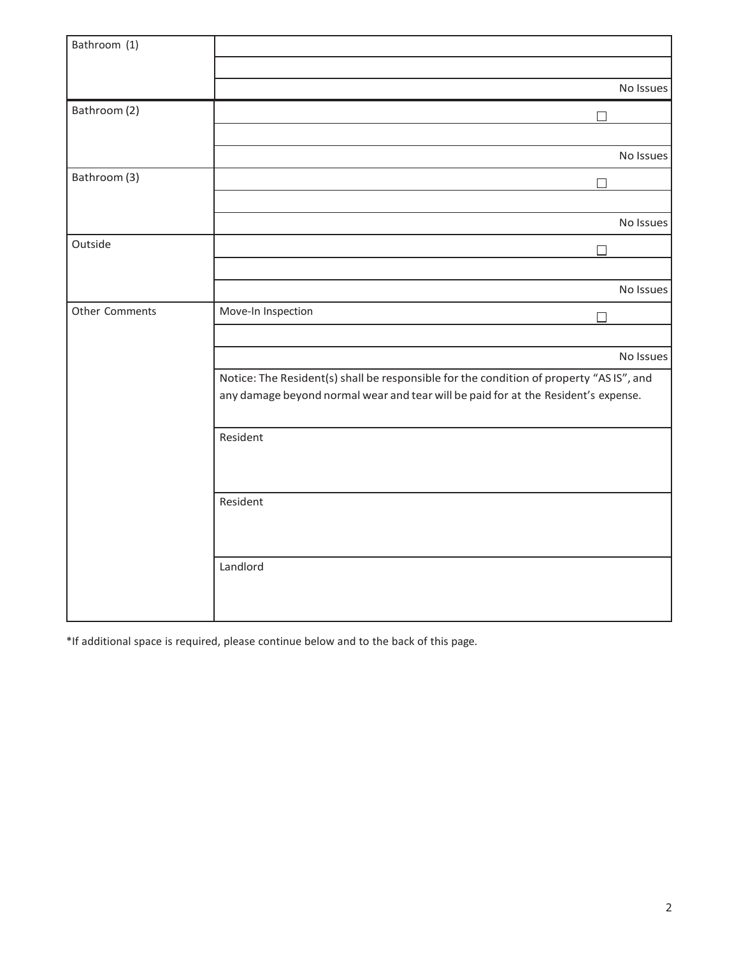| Bathroom (1)   |                                                                                                                                                                               |           |
|----------------|-------------------------------------------------------------------------------------------------------------------------------------------------------------------------------|-----------|
|                |                                                                                                                                                                               |           |
|                |                                                                                                                                                                               |           |
|                |                                                                                                                                                                               | No Issues |
| Bathroom (2)   | $\Box$                                                                                                                                                                        |           |
|                |                                                                                                                                                                               |           |
|                |                                                                                                                                                                               | No Issues |
| Bathroom (3)   | $\Box$                                                                                                                                                                        |           |
|                |                                                                                                                                                                               |           |
|                |                                                                                                                                                                               | No Issues |
| Outside        | П                                                                                                                                                                             |           |
|                |                                                                                                                                                                               |           |
|                |                                                                                                                                                                               | No Issues |
| Other Comments | Move-In Inspection<br>П                                                                                                                                                       |           |
|                |                                                                                                                                                                               |           |
|                |                                                                                                                                                                               | No Issues |
|                | Notice: The Resident(s) shall be responsible for the condition of property "AS IS", and<br>any damage beyond normal wear and tear will be paid for at the Resident's expense. |           |
|                | Resident                                                                                                                                                                      |           |
|                | Resident                                                                                                                                                                      |           |
|                | Landlord                                                                                                                                                                      |           |

\*If additional space is required, please continue below and to the back of this page.